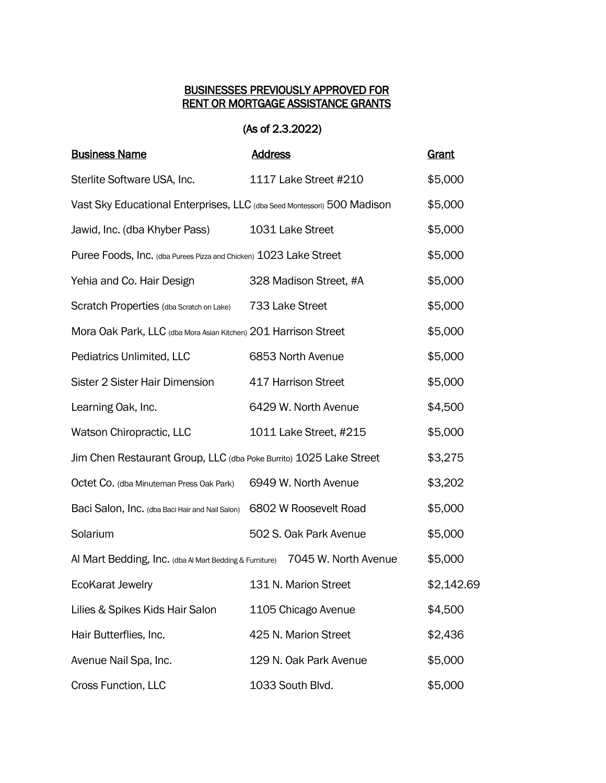## BUSINESSES PREVIOUSLY APPROVED FOR RENT OR MORTGAGE ASSISTANCE GRANTS

## (As of 2.3.2022)

| <b>Business Name</b>                                                    | <b>Address</b>         | <b>Grant</b> |
|-------------------------------------------------------------------------|------------------------|--------------|
| Sterlite Software USA, Inc.                                             | 1117 Lake Street #210  | \$5,000      |
| Vast Sky Educational Enterprises, LLC (dba Seed Montessori) 500 Madison |                        | \$5,000      |
| Jawid, Inc. (dba Khyber Pass)                                           | 1031 Lake Street       | \$5,000      |
| Puree Foods, Inc. (dba Purees Pizza and Chicken) 1023 Lake Street       |                        | \$5,000      |
| Yehia and Co. Hair Design                                               | 328 Madison Street, #A | \$5,000      |
| Scratch Properties (dba Scratch on Lake)                                | 733 Lake Street        | \$5,000      |
| Mora Oak Park, LLC (dba Mora Asian Kitchen) 201 Harrison Street         |                        | \$5,000      |
| Pediatrics Unlimited, LLC                                               | 6853 North Avenue      | \$5,000      |
| Sister 2 Sister Hair Dimension                                          | 417 Harrison Street    | \$5,000      |
| Learning Oak, Inc.                                                      | 6429 W. North Avenue   | \$4,500      |
| Watson Chiropractic, LLC                                                | 1011 Lake Street, #215 | \$5,000      |
| Jim Chen Restaurant Group, LLC (dba Poke Burrito) 1025 Lake Street      |                        | \$3,275      |
| Octet Co. (dba Minuteman Press Oak Park)                                | 6949 W. North Avenue   | \$3,202      |
| Baci Salon, Inc. (dba Baci Hair and Nail Salon)                         | 6802 W Roosevelt Road  | \$5,000      |
| Solarium                                                                | 502 S. Oak Park Avenue | \$5,000      |
| Al Mart Bedding, Inc. (dba Al Mart Bedding & Furniture)                 | 7045 W. North Avenue   | \$5,000      |
| <b>EcoKarat Jewelry</b>                                                 | 131 N. Marion Street   | \$2,142.69   |
| Lilies & Spikes Kids Hair Salon                                         | 1105 Chicago Avenue    | \$4,500      |
| Hair Butterflies, Inc.                                                  | 425 N. Marion Street   | \$2,436      |
| Avenue Nail Spa, Inc.                                                   | 129 N. Oak Park Avenue | \$5,000      |
| Cross Function, LLC                                                     | 1033 South Blvd.       | \$5,000      |